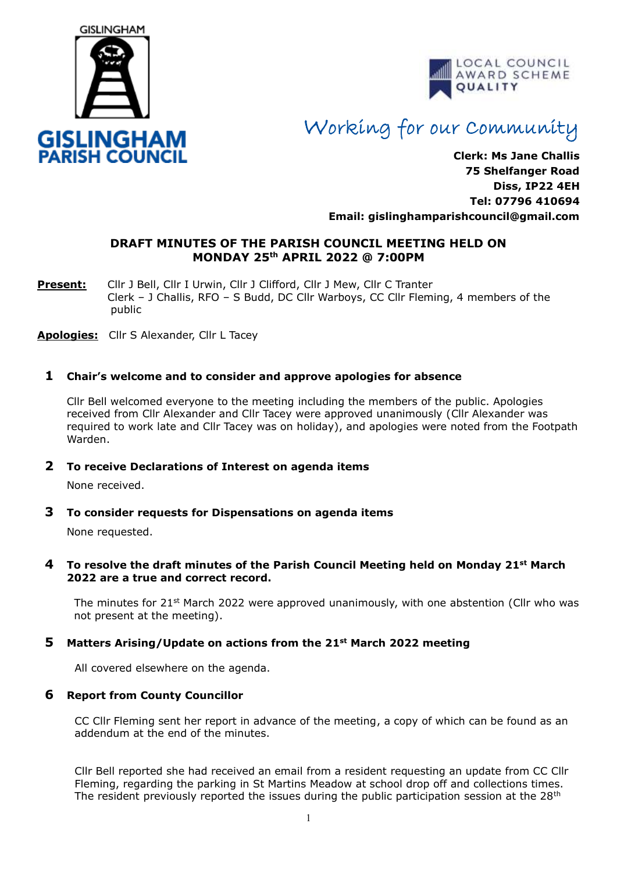



# Working for our Community

**Clerk: Ms Jane Challis 75 Shelfanger Road Diss, IP22 4EH Tel: 07796 410694 Email: [gislinghamparishcouncil@gmail.com](mailto:gislinghamparishcouncil@gmail.com)**

# **DRAFT MINUTES OF THE PARISH COUNCIL MEETING HELD ON MONDAY 25th APRIL 2022 @ 7:00PM**

**Present:** Cllr J Bell, Cllr I Urwin, Cllr J Clifford, Cllr J Mew, Cllr C Tranter Clerk – J Challis, RFO – S Budd, DC Cllr Warboys, CC Cllr Fleming, 4 members of the public

**Apologies:** Cllr S Alexander, Cllr L Tacey

# **1 Chair's welcome and to consider and approve apologies for absence**

Cllr Bell welcomed everyone to the meeting including the members of the public. Apologies received from Cllr Alexander and Cllr Tacey were approved unanimously (Cllr Alexander was required to work late and Cllr Tacey was on holiday), and apologies were noted from the Footpath Warden.

# **2 To receive Declarations of Interest on agenda items**

None received.

**3 To consider requests for Dispensations on agenda items**

None requested.

#### **4 To resolve the draft minutes of the Parish Council Meeting held on Monday 21st March 2022 are a true and correct record.**

The minutes for  $21^{st}$  March 2022 were approved unanimously, with one abstention (Cllr who was not present at the meeting).

# **5 Matters Arising/Update on actions from the 21st March 2022 meeting**

All covered elsewhere on the agenda.

#### **6 Report from County Councillor**

CC Cllr Fleming sent her report in advance of the meeting, a copy of which can be found as an addendum at the end of the minutes.

Cllr Bell reported she had received an email from a resident requesting an update from CC Cllr Fleming, regarding the parking in St Martins Meadow at school drop off and collections times. The resident previously reported the issues during the public participation session at the 28<sup>th</sup>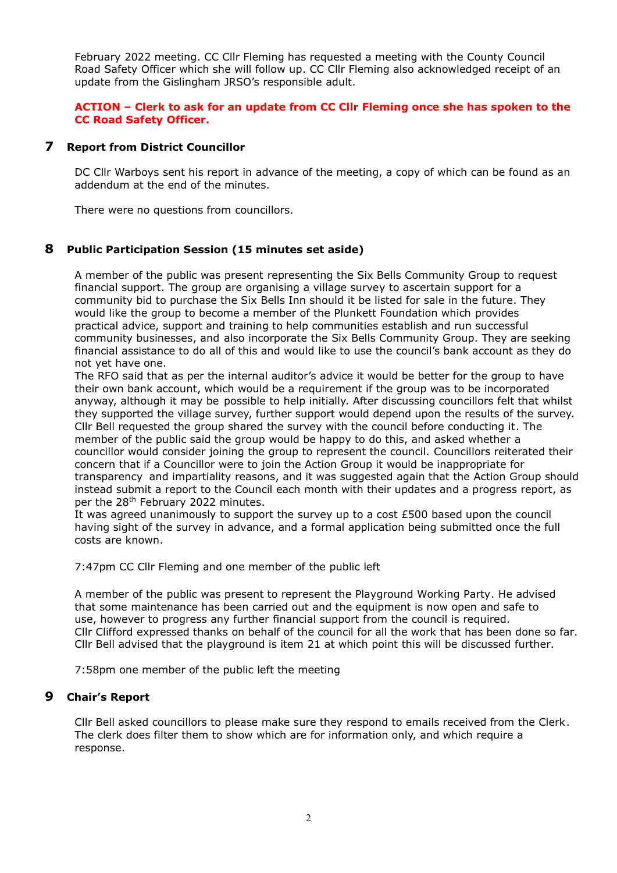February 2022 meeting. CC Cllr Fleming has requested a meeting with the County Council Road Safety Officer which she will follow up. CC Cllr Fleming also acknowledged receipt of an update from the Gislingham JRSO's responsible adult.

# **ACTION – Clerk to ask for an update from CC Cllr Fleming once she has spoken to the CC Road Safety Officer.**

#### **7 Report from District Councillor**

DC Cllr Warboys sent his report in advance of the meeting, a copy of which can be found as an addendum at the end of the minutes.

There were no questions from councillors.

#### **8 Public Participation Session (15 minutes set aside)**

A member of the public was present representing the Six Bells Community Group to request financial support. The group are organising a village survey to ascertain support for a community bid to purchase the Six Bells Inn should it be listed for sale in the future. They would like the group to become a member of the Plunkett Foundation which provides practical advice, support and training to help communities establish and run successful community businesses, and also incorporate the Six Bells Community Group. They are seeking financial assistance to do all of this and would like to use the council's bank account as they do not yet have one.

The RFO said that as per the internal auditor's advice it would be better for the group to have their own bank account, which would be a requirement if the group was to be incorporated anyway, although it may be possible to help initially. After discussing councillors felt that whilst they supported the village survey, further support would depend upon the results of the survey. Cllr Bell requested the group shared the survey with the council before conducting it. The member of the public said the group would be happy to do this, and asked whether a councillor would consider joining the group to represent the council. Councillors reiterated their concern that if a Councillor were to join the Action Group it would be inappropriate for transparency and impartiality reasons, and it was suggested again that the Action Group should instead submit a report to the Council each month with their updates and a progress report, as per the 28<sup>th</sup> February 2022 minutes.

It was agreed unanimously to support the survey up to a cost £500 based upon the council having sight of the survey in advance, and a formal application being submitted once the full costs are known.

7:47pm CC Cllr Fleming and one member of the public left

A member of the public was present to represent the Playground Working Party. He advised that some maintenance has been carried out and the equipment is now open and safe to use, however to progress any further financial support from the council is required. Cllr Clifford expressed thanks on behalf of the council for all the work that has been done so far. Cllr Bell advised that the playground is item 21 at which point this will be discussed further.

7:58pm one member of the public left the meeting

#### **9 Chair's Report**

Cllr Bell asked councillors to please make sure they respond to emails received from the Clerk. The clerk does filter them to show which are for information only, and which require a response.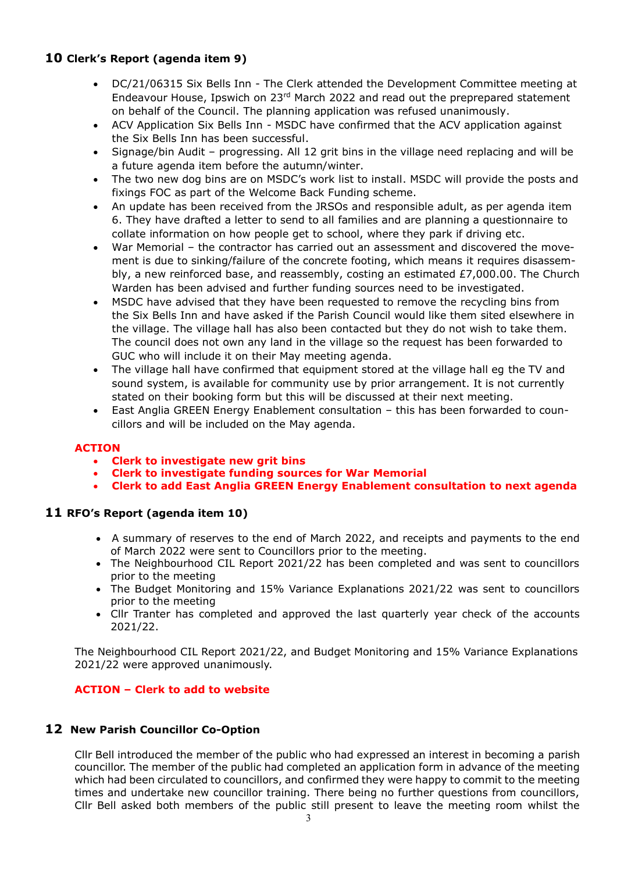# **10 Clerk's Report (agenda item 9)**

- DC/21/06315 Six Bells Inn The Clerk attended the Development Committee meeting at Endeavour House, Ipswich on 23rd March 2022 and read out the preprepared statement on behalf of the Council. The planning application was refused unanimously.
- ACV Application Six Bells Inn MSDC have confirmed that the ACV application against the Six Bells Inn has been successful.
- Signage/bin Audit progressing. All 12 grit bins in the village need replacing and will be a future agenda item before the autumn/winter.
- The two new dog bins are on MSDC's work list to install. MSDC will provide the posts and fixings FOC as part of the Welcome Back Funding scheme.
- An update has been received from the JRSOs and responsible adult, as per agenda item 6. They have drafted a letter to send to all families and are planning a questionnaire to collate information on how people get to school, where they park if driving etc.
- War Memorial the contractor has carried out an assessment and discovered the movement is due to sinking/failure of the concrete footing, which means it requires disassembly, a new reinforced base, and reassembly, costing an estimated £7,000.00. The Church Warden has been advised and further funding sources need to be investigated.
- MSDC have advised that they have been requested to remove the recycling bins from the Six Bells Inn and have asked if the Parish Council would like them sited elsewhere in the village. The village hall has also been contacted but they do not wish to take them. The council does not own any land in the village so the request has been forwarded to GUC who will include it on their May meeting agenda.
- The village hall have confirmed that equipment stored at the village hall eg the TV and sound system, is available for community use by prior arrangement. It is not currently stated on their booking form but this will be discussed at their next meeting.
- East Anglia GREEN Energy Enablement consultation this has been forwarded to councillors and will be included on the May agenda.

# **ACTION**

- **Clerk to investigate new grit bins**
- **Clerk to investigate funding sources for War Memorial**
- **Clerk to add East Anglia GREEN Energy Enablement consultation to next agenda**

# **11 RFO's Report (agenda item 10)**

- A summary of reserves to the end of March 2022, and receipts and payments to the end of March 2022 were sent to Councillors prior to the meeting.
- The Neighbourhood CIL Report 2021/22 has been completed and was sent to councillors prior to the meeting
- The Budget Monitoring and 15% Variance Explanations 2021/22 was sent to councillors prior to the meeting
- Cllr Tranter has completed and approved the last quarterly year check of the accounts 2021/22.

The Neighbourhood CIL Report 2021/22, and Budget Monitoring and 15% Variance Explanations 2021/22 were approved unanimously.

# **ACTION – Clerk to add to website**

# **12 New Parish Councillor Co-Option**

Cllr Bell introduced the member of the public who had expressed an interest in becoming a parish councillor. The member of the public had completed an application form in advance of the meeting which had been circulated to councillors, and confirmed they were happy to commit to the meeting times and undertake new councillor training. There being no further questions from councillors, Cllr Bell asked both members of the public still present to leave the meeting room whilst the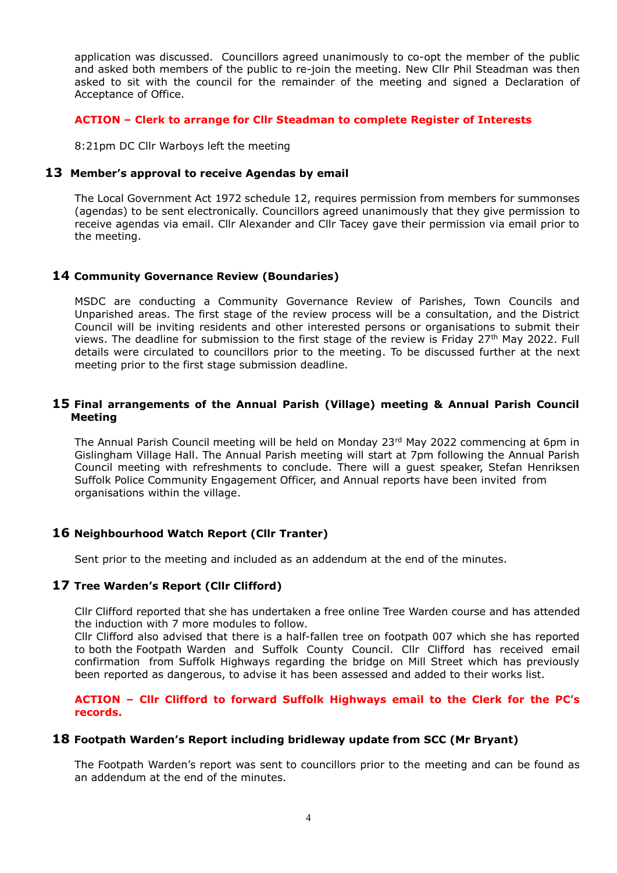application was discussed. Councillors agreed unanimously to co-opt the member of the public and asked both members of the public to re-join the meeting. New Cllr Phil Steadman was then asked to sit with the council for the remainder of the meeting and signed a Declaration of Acceptance of Office.

## **ACTION – Clerk to arrange for Cllr Steadman to complete Register of Interests**

8:21pm DC Cllr Warboys left the meeting

#### **13 Member's approval to receive Agendas by email**

The Local Government Act 1972 schedule 12, requires permission from members for summonses (agendas) to be sent electronically. Councillors agreed unanimously that they give permission to receive agendas via email. Cllr Alexander and Cllr Tacey gave their permission via email prior to the meeting.

#### **14 Community Governance Review (Boundaries)**

MSDC are conducting a Community Governance Review of Parishes, Town Councils and Unparished areas. The first stage of the review process will be a consultation, and the District Council will be inviting residents and other interested persons or organisations to submit their views. The deadline for submission to the first stage of the review is Friday 27th May 2022. Full details were circulated to councillors prior to the meeting. To be discussed further at the next meeting prior to the first stage submission deadline.

#### **15 Final arrangements of the Annual Parish (Village) meeting & Annual Parish Council Meeting**

The Annual Parish Council meeting will be held on Monday 23<sup>rd</sup> May 2022 commencing at 6pm in Gislingham Village Hall. The Annual Parish meeting will start at 7pm following the Annual Parish Council meeting with refreshments to conclude. There will a guest speaker, Stefan Henriksen Suffolk Police Community Engagement Officer, and Annual reports have been invited from organisations within the village.

# **16 Neighbourhood Watch Report (Cllr Tranter)**

Sent prior to the meeting and included as an addendum at the end of the minutes.

#### **17 Tree Warden's Report (Cllr Clifford)**

Cllr Clifford reported that she has undertaken a free online Tree Warden course and has attended the induction with 7 more modules to follow.

Cllr Clifford also advised that there is a half-fallen tree on footpath 007 which she has reported to both the Footpath Warden and Suffolk County Council. Cllr Clifford has received email confirmation from Suffolk Highways regarding the bridge on Mill Street which has previously been reported as dangerous, to advise it has been assessed and added to their works list.

#### **ACTION – Cllr Clifford to forward Suffolk Highways email to the Clerk for the PC's records.**

#### **18 Footpath Warden's Report including bridleway update from SCC (Mr Bryant)**

The Footpath Warden's report was sent to councillors prior to the meeting and can be found as an addendum at the end of the minutes.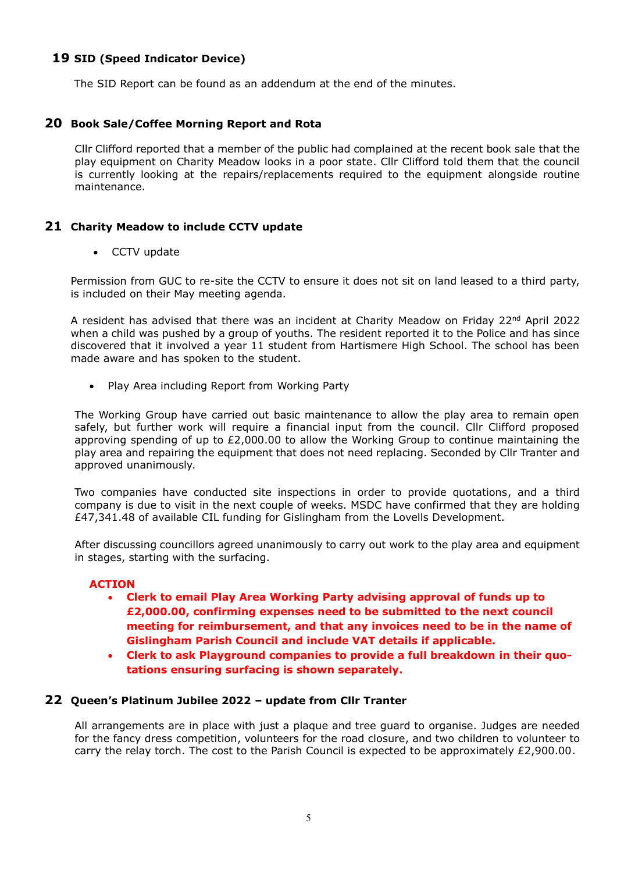# **19 SID (Speed Indicator Device)**

The SID Report can be found as an addendum at the end of the minutes.

## **20 Book Sale/Coffee Morning Report and Rota**

Cllr Clifford reported that a member of the public had complained at the recent book sale that the play equipment on Charity Meadow looks in a poor state. Cllr Clifford told them that the council is currently looking at the repairs/replacements required to the equipment alongside routine maintenance.

#### **21 Charity Meadow to include CCTV update**

• CCTV update

Permission from GUC to re-site the CCTV to ensure it does not sit on land leased to a third party, is included on their May meeting agenda.

A resident has advised that there was an incident at Charity Meadow on Friday 22<sup>nd</sup> April 2022 when a child was pushed by a group of youths. The resident reported it to the Police and has since discovered that it involved a year 11 student from Hartismere High School. The school has been made aware and has spoken to the student.

• Play Area including Report from Working Party

The Working Group have carried out basic maintenance to allow the play area to remain open safely, but further work will require a financial input from the council. Cllr Clifford proposed approving spending of up to  $£2,000.00$  to allow the Working Group to continue maintaining the play area and repairing the equipment that does not need replacing. Seconded by Cllr Tranter and approved unanimously.

Two companies have conducted site inspections in order to provide quotations, and a third company is due to visit in the next couple of weeks. MSDC have confirmed that they are holding £47,341.48 of available CIL funding for Gislingham from the Lovells Development.

After discussing councillors agreed unanimously to carry out work to the play area and equipment in stages, starting with the surfacing.

#### **ACTION**

- **Clerk to email Play Area Working Party advising approval of funds up to £2,000.00, confirming expenses need to be submitted to the next council meeting for reimbursement, and that any invoices need to be in the name of Gislingham Parish Council and include VAT details if applicable.**
- **Clerk to ask Playground companies to provide a full breakdown in their quotations ensuring surfacing is shown separately.**

#### **22 Queen's Platinum Jubilee 2022 – update from Cllr Tranter**

All arrangements are in place with just a plaque and tree guard to organise. Judges are needed for the fancy dress competition, volunteers for the road closure, and two children to volunteer to carry the relay torch. The cost to the Parish Council is expected to be approximately £2,900.00.